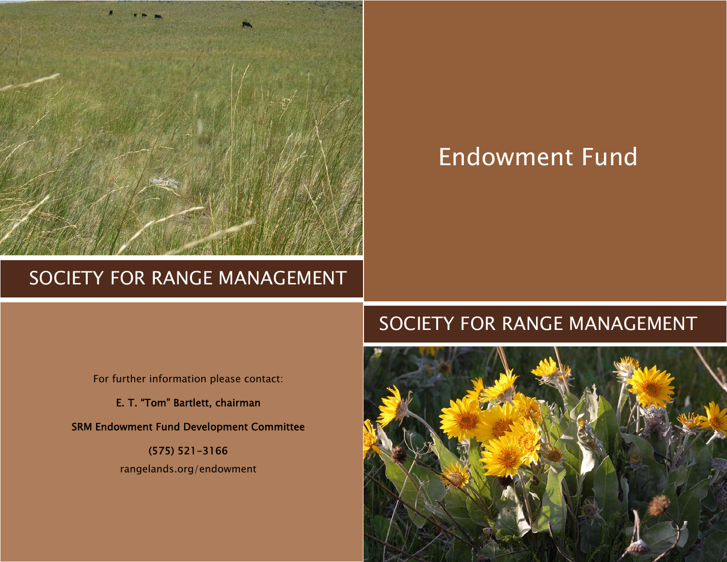

# Endowment Fund

# SOCIETY FOR RANGE MANAGEMENT

# SOCIETY FOR RANGE MANAGEMENT

For further information please contact:

E. T. "Tom" Bartlett, chairman SRM Endowment Fund Development Committee (575) 521-3166

rangelands.org/endowment

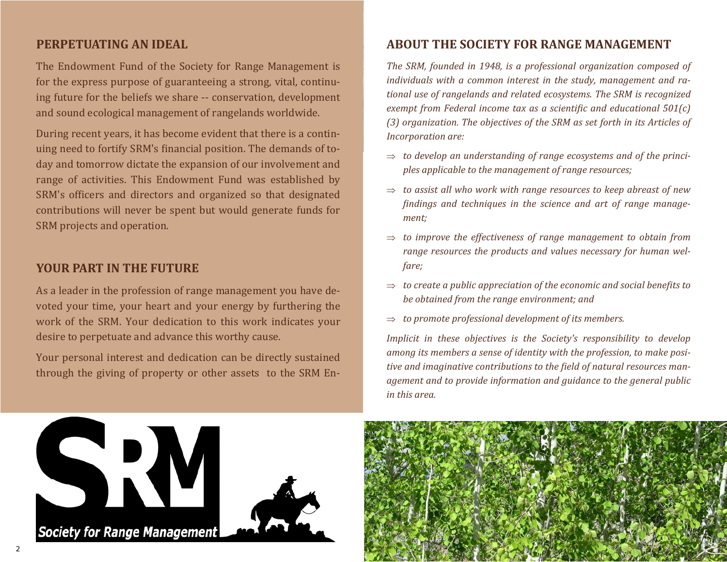## **PERPETUATING AN IDEAL**

The Endowment Fund of the Society for Range Management is for the express purpose of guaranteeing a strong, vital, continuing future for the beliefs we share -- conservation, development and sound ecological management of rangelands worldwide.

During recent years, it has become evident that there is a continuing need to fortify SRM's financial position. The demands of today and tomorrow dictate the expansion of our involvement and range of activities. This Endowment Fund was established by SRM's officers and directors and organized so that designated contributions will never be spent but would generate funds for SRM projects and operation.

## **YOUR PART IN THE FUTURE**

As a leader in the profession of range management you have devoted your time, your heart and your energy by furthering the work of the SRM. Your dedication to this work indicates your desire to perpetuate and advance this worthy cause.

Your personal interest and dedication can be directly sustained through the giving of property or other assets to the SRM En-

# **ABOUT THE SOCIETY FOR RANGE MANAGEMENT**

*The SRM, founded in 1948, is <sup>a</sup> professional organization composed of individuals with a common interest in the study, managemen<sup>t</sup> and rational use of rangelands and related ecosystems. The SRM is recognized exempt from Federal income tax as <sup>a</sup> scientiϔic and educational 501(c) (3) organization. The objectives of the SRM as set forth in its Articles of Incorporation are:*

- *to develop an understanding of range ecosystems and of the principles applicable to the managemen<sup>t</sup> of range resources;*
- *to assist all who work with range resources to keep abreast of new ϔindings and techniques in the science and art of range management;*
- *to improve the effectiveness of range managemen<sup>t</sup> to obtain from range resources the products and values necessary for human welfare;*
- $\Rightarrow$   $\,$  *to create a public appreciation of the economic and social benefits to be obtained from the range environment; and*
- *to promote professional development of its members.*

*Implicit in these objectives is the Society's responsibility to develop among its members <sup>a</sup> sense of identity with the profession, to make positive and imaginative contributions to the ϔield of natural resources managemen<sup>t</sup> and to provide information and guidance to the general public in this area.*



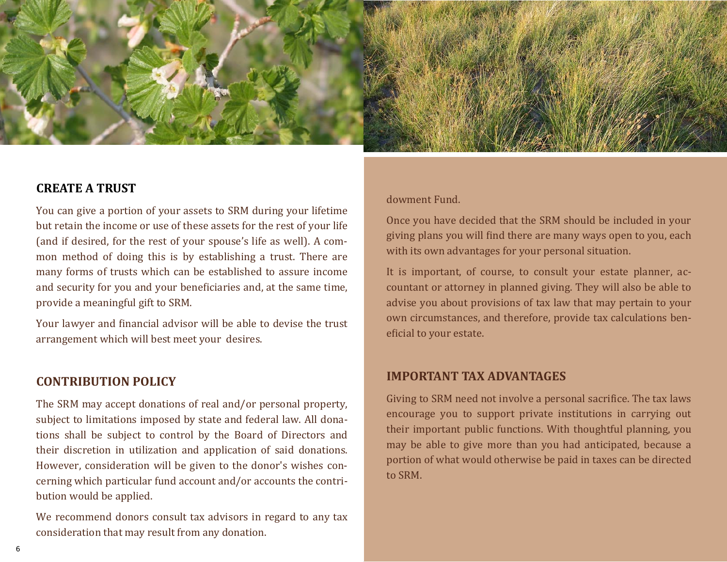

#### **CREATE A TRUST**

You can give a portion of your assets to SRM during your lifetime but retain the income or use of these assets for the rest of your life (and if desired, for the rest of your spouse's life as well). A common method of doing this is by establishing a trust. There are many forms of trusts which can be established to assure income and security for you and your beneficiaries and, at the same time, provide a meaningful gift to SRM.

Your lawyer and financial advisor will be able to devise the trust arrangement which will best meet your desires.

### **CONTRIBUTION POLICY**

The SRM may accept donations of real and/or personal property, subject to limitations imposed by state and federal law. All donations shall be subject to control by the Board of Directors and their discretion in utilization and application of said donations. However, consideration will be given to the donor's wishes concerning which particular fund account and/or accounts the contribution would be applied.

We recommend donors consult tax advisors in regard to any tax consideration that may result from any donation.

dowment Fund.

Once you have decided that the SRM should be included in your giving plans you will find there are many ways open to you, each with its own advantages for your personal situation.

It is important, of course, to consult your estate planner, accountant or attorney in planned giving. They will also be able to advise you about provisions of tax law that may pertain to your own circumstances, and therefore, provide tax calculations beneficial to your estate.

#### **IMPORTANT TAX ADVANTAGES**

Giving to SRM need not involve a personal sacrifice. The tax laws encourage you to support private institutions in carrying out their important public functions. With thoughtful planning, you may be able to give more than you had anticipated, because a portion of what would otherwise be paid in taxes can be directed to SRM.